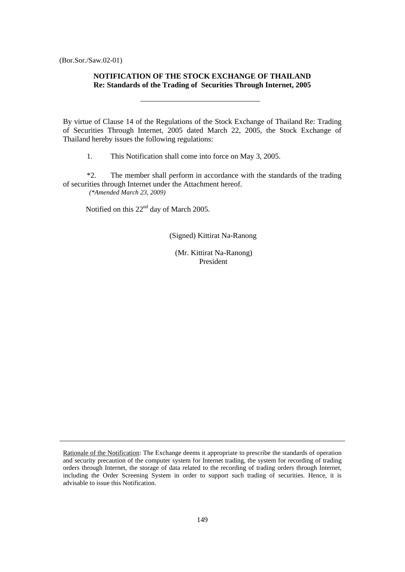# **NOTIFICATION OF THE STOCK EXCHANGE OF THAILAND Re: Standards of the Trading of Securities Through Internet, 2005**

By virtue of Clause 14 of the Regulations of the Stock Exchange of Thailand Re: Trading of Securities Through Internet, 2005 dated March 22, 2005, the Stock Exchange of Thailand hereby issues the following regulations:

1. This Notification shall come into force on May 3, 2005.

 \*2. The member shall perform in accordance with the standards of the trading of securities through Internet under the Attachment hereof. *(\*Amended March 23, 2009)* 

Notified on this 22<sup>nd</sup> day of March 2005.

(Signed) Kittirat Na-Ranong

 (Mr. Kittirat Na-Ranong) President

Rationale of the Notification: The Exchange deems it appropriate to prescribe the standards of operation and security precaution of the computer system for Internet trading, the system for recording of trading orders through Internet, the storage of data related to the recording of trading orders through Internet, including the Order Screening System in order to support such trading of securities. Hence, it is advisable to issue this Notification.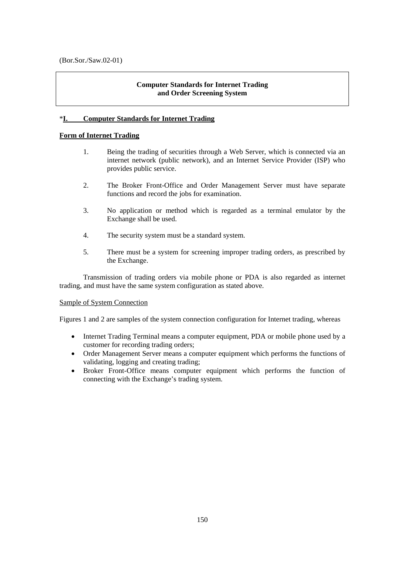# **Computer Standards for Internet Trading and Order Screening System**

# \***I. Computer Standards for Internet Trading**

# **Form of Internet Trading**

- 1. Being the trading of securities through a Web Server, which is connected via an internet network (public network), and an Internet Service Provider (ISP) who provides public service.
- 2. The Broker Front-Office and Order Management Server must have separate functions and record the jobs for examination.
- 3. No application or method which is regarded as a terminal emulator by the Exchange shall be used.
- 4. The security system must be a standard system.
- 5. There must be a system for screening improper trading orders, as prescribed by the Exchange.

 Transmission of trading orders via mobile phone or PDA is also regarded as internet trading, and must have the same system configuration as stated above.

## Sample of System Connection

Figures 1 and 2 are samples of the system connection configuration for Internet trading, whereas

- Internet Trading Terminal means a computer equipment, PDA or mobile phone used by a customer for recording trading orders;
- Order Management Server means a computer equipment which performs the functions of validating, logging and creating trading;
- Broker Front-Office means computer equipment which performs the function of connecting with the Exchange's trading system.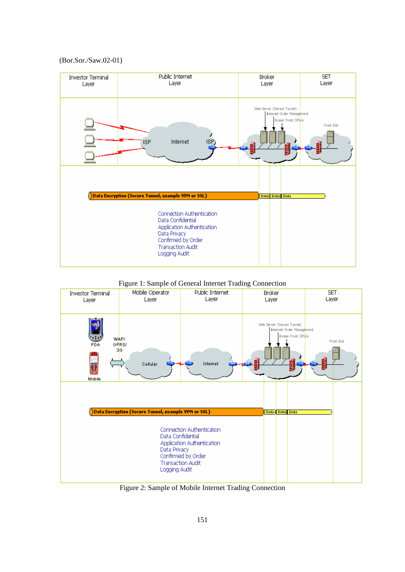(Bor.Sor./Saw.02-01)







Figure 2: Sample of Mobile Internet Trading Connection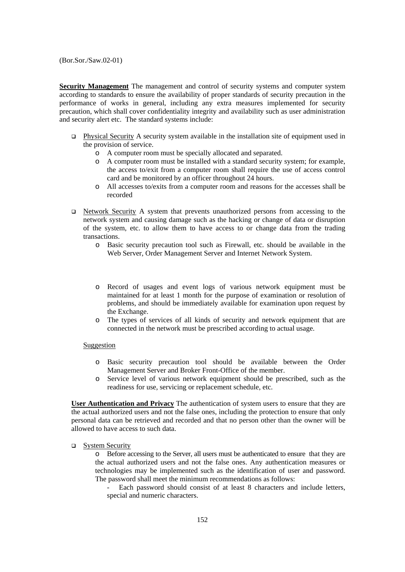**Security Management** The management and control of security systems and computer system according to standards to ensure the availability of proper standards of security precaution in the performance of works in general, including any extra measures implemented for security precaution, which shall cover confidentiality integrity and availability such as user administration and security alert etc. The standard systems include:

- Physical Security A security system available in the installation site of equipment used in the provision of service.
	- o A computer room must be specially allocated and separated.
	- o A computer room must be installed with a standard security system; for example, the access to/exit from a computer room shall require the use of access control card and be monitored by an officer throughout 24 hours.
	- o All accesses to/exits from a computer room and reasons for the accesses shall be recorded
- Network Security A system that prevents unauthorized persons from accessing to the network system and causing damage such as the hacking or change of data or disruption of the system, etc. to allow them to have access to or change data from the trading transactions.
	- o Basic security precaution tool such as Firewall, etc. should be available in the Web Server, Order Management Server and Internet Network System.
	- o Record of usages and event logs of various network equipment must be maintained for at least 1 month for the purpose of examination or resolution of problems, and should be immediately available for examination upon request by the Exchange.
	- o The types of services of all kinds of security and network equipment that are connected in the network must be prescribed according to actual usage.

#### Suggestion

- o Basic security precaution tool should be available between the Order Management Server and Broker Front-Office of the member.
- o Service level of various network equipment should be prescribed, such as the readiness for use, servicing or replacement schedule, etc.

**User Authentication and Privacy** The authentication of system users to ensure that they are the actual authorized users and not the false ones, including the protection to ensure that only personal data can be retrieved and recorded and that no person other than the owner will be allowed to have access to such data.

 $S$ ystem Security

o Before accessing to the Server, all users must be authenticated to ensure that they are the actual authorized users and not the false ones. Any authentication measures or technologies may be implemented such as the identification of user and password. The password shall meet the minimum recommendations as follows:

Each password should consist of at least 8 characters and include letters, special and numeric characters.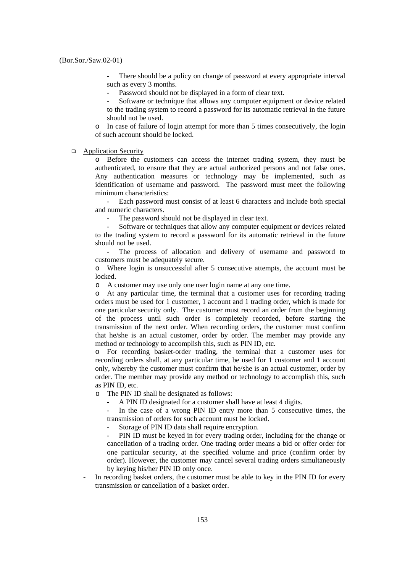There should be a policy on change of password at every appropriate interval such as every 3 months.

Password should not be displayed in a form of clear text.

Software or technique that allows any computer equipment or device related to the trading system to record a password for its automatic retrieval in the future should not be used.

o In case of failure of login attempt for more than 5 times consecutively, the login of such account should be locked.

#### **Application Security**

o Before the customers can access the internet trading system, they must be authenticated, to ensure that they are actual authorized persons and not false ones. Any authentication measures or technology may be implemented, such as identification of username and password. The password must meet the following minimum characteristics:

 - Each password must consist of at least 6 characters and include both special and numeric characters.

The password should not be displayed in clear text.

 - Software or techniques that allow any computer equipment or devices related to the trading system to record a password for its automatic retrieval in the future should not be used.

The process of allocation and delivery of username and password to customers must be adequately secure.

o Where login is unsuccessful after 5 consecutive attempts, the account must be locked.

o A customer may use only one user login name at any one time.

o At any particular time, the terminal that a customer uses for recording trading orders must be used for 1 customer, 1 account and 1 trading order, which is made for one particular security only. The customer must record an order from the beginning of the process until such order is completely recorded, before starting the transmission of the next order. When recording orders, the customer must confirm that he/she is an actual customer, order by order. The member may provide any method or technology to accomplish this, such as PIN ID, etc.

o For recording basket-order trading, the terminal that a customer uses for recording orders shall, at any particular time, be used for 1 customer and 1 account only, whereby the customer must confirm that he/she is an actual customer, order by order. The member may provide any method or technology to accomplish this, such as PIN ID, etc.

o The PIN ID shall be designated as follows:

A PIN ID designated for a customer shall have at least 4 digits.

 - In the case of a wrong PIN ID entry more than 5 consecutive times, the transmission of orders for such account must be locked.

Storage of PIN ID data shall require encryption.

PIN ID must be keyed in for every trading order, including for the change or cancellation of a trading order. One trading order means a bid or offer order for one particular security, at the specified volume and price (confirm order by order). However, the customer may cancel several trading orders simultaneously by keying his/her PIN ID only once.

In recording basket orders, the customer must be able to key in the PIN ID for every transmission or cancellation of a basket order.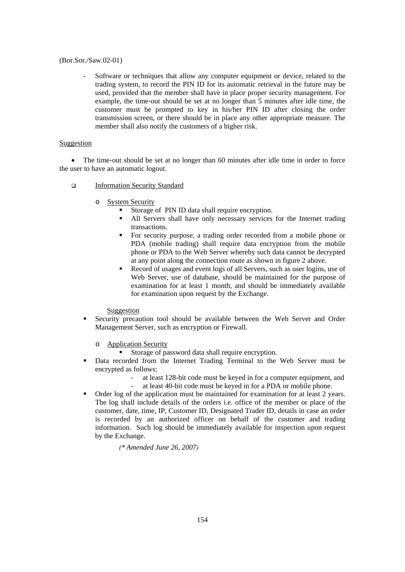- Software or techniques that allow any computer equipment or device, related to the trading system, to record the PIN ID for its automatic retrieval in the future may be used, provided that the member shall have in place proper security management. For example, the time-out should be set at no longer than 5 minutes after idle time, the customer must be prompted to key in his/her PIN ID after closing the order transmission screen, or there should be in place any other appropriate measure. The member shall also notify the customers of a higher risk.

# Suggestion

• The time-out should be set at no longer than 60 minutes after idle time in order to force the user to have an automatic logout.

- Information Security Standard
	- o System Security
		- Storage of PIN ID data shall require encryption.
		- All Servers shall have only necessary services for the Internet trading transactions.
		- For security purpose, a trading order recorded from a mobile phone or PDA (mobile trading) shall require data encryption from the mobile phone or PDA to the Web Server whereby such data cannot be decrypted at any point along the connection route as shown in figure 2 above.
		- Record of usages and event logs of all Servers, such as user logins, use of Web Server, use of database, should be maintained for the purpose of examination for at least 1 month, and should be immediately available for examination upon request by the Exchange.

## Suggestion

 Security precaution tool should be available between the Web Server and Order Management Server, such as encryption or Firewall.

o Application Security

- Storage of password data shall require encryption.
- Data recorded from the Internet Trading Terminal to the Web Server must be encrypted as follows:
	- at least 128-bit code must be keyed in for a computer equipment, and
		- at least 40-bit code must be keyed in for a PDA or mobile phone.
- Order log of the application must be maintained for examination for at least 2 years. The log shall include details of the orders i.e. office of the member or place of the customer, date, time, IP, Customer ID, Designated Trader ID, details in case an order is recorded by an authorized officer on behalf of the customer and trading information. Such log should be immediately available for inspection upon request by the Exchange.

*(\* Amended June 26, 2007)*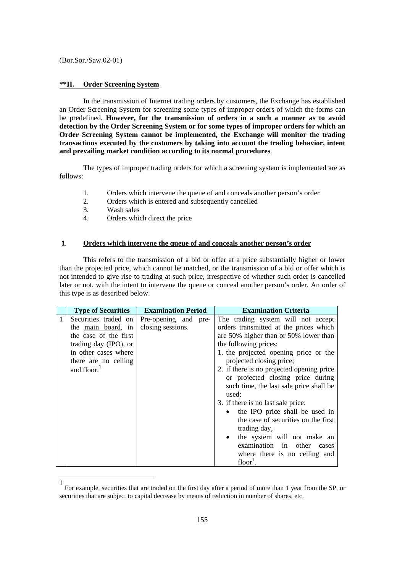#### **\*\*II. Order Screening System**

 In the transmission of Internet trading orders by customers, the Exchange has established an Order Screening System for screening some types of improper orders of which the forms can be predefined. **However, for the transmission of orders in a such a manner as to avoid detection by the Order Screening System or for some types of improper orders for which an Order Screening System cannot be implemented, the Exchange will monitor the trading transactions executed by the customers by taking into account the trading behavior, intent and prevailing market condition according to its normal procedures**.

 The types of improper trading orders for which a screening system is implemented are as follows:

- 1. Orders which intervene the queue of and conceals another person's order
- 2. Orders which is entered and subsequently cancelled
- 3. Wash sales

1

4. Orders which direct the price

# **1**. **Orders which intervene the queue of and conceals another person's order**

 This refers to the transmission of a bid or offer at a price substantially higher or lower than the projected price, which cannot be matched, or the transmission of a bid or offer which is not intended to give rise to trading at such price, irrespective of whether such order is cancelled later or not, with the intent to intervene the queue or conceal another person's order. An order of this type is as described below.

|              | <b>Type of Securities</b> | <b>Examination Period</b> | <b>Examination Criteria</b>               |
|--------------|---------------------------|---------------------------|-------------------------------------------|
| $\mathbf{1}$ | Securities traded on      | Pre-opening and pre-      | The trading system will not accept        |
|              | the main board, in        | closing sessions.         | orders transmitted at the prices which    |
|              | the case of the first     |                           | are 50% higher than or 50% lower than     |
|              | trading day (IPO), or     |                           | the following prices:                     |
|              | in other cases where      |                           | 1. the projected opening price or the     |
|              | there are no ceiling      |                           | projected closing price;                  |
|              | and floor.                |                           | 2. if there is no projected opening price |
|              |                           |                           | or projected closing price during         |
|              |                           |                           | such time, the last sale price shall be   |
|              |                           |                           | used:                                     |
|              |                           |                           | 3. if there is no last sale price:        |
|              |                           |                           | the IPO price shall be used in            |
|              |                           |                           | the case of securities on the first       |
|              |                           |                           | trading day,                              |
|              |                           |                           | the system will not make an               |
|              |                           |                           | examination in other<br>cases             |
|              |                           |                           | where there is no ceiling and             |
|              |                           |                           | $floor1$ .                                |

<sup>1</sup> For example, securities that are traded on the first day after a period of more than 1 year from the SP, or securities that are subject to capital decrease by means of reduction in number of shares, etc.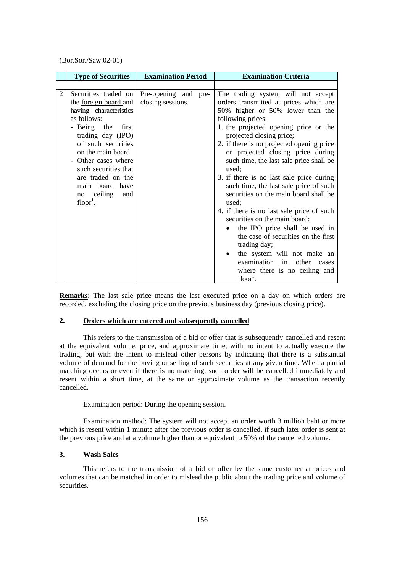|   | <b>Type of Securities</b>                                                                                                                                                                                                                                                                                     | <b>Examination Period</b>                 | <b>Examination Criteria</b>                                                                                                                                                                                                                                                                                                                                                                                                                                                                                                                                                                                                                                                                                                                                                                                 |
|---|---------------------------------------------------------------------------------------------------------------------------------------------------------------------------------------------------------------------------------------------------------------------------------------------------------------|-------------------------------------------|-------------------------------------------------------------------------------------------------------------------------------------------------------------------------------------------------------------------------------------------------------------------------------------------------------------------------------------------------------------------------------------------------------------------------------------------------------------------------------------------------------------------------------------------------------------------------------------------------------------------------------------------------------------------------------------------------------------------------------------------------------------------------------------------------------------|
|   |                                                                                                                                                                                                                                                                                                               |                                           |                                                                                                                                                                                                                                                                                                                                                                                                                                                                                                                                                                                                                                                                                                                                                                                                             |
| 2 | Securities traded on<br>the <u>foreign board</u> and<br>having characteristics<br>as follows:<br>- Being the first<br>trading day (IPO)<br>of such securities<br>on the main board.<br>- Other cases where<br>such securities that<br>are traded on the<br>main board have<br>no ceiling<br>and<br>$floor1$ . | Pre-opening and pre-<br>closing sessions. | The trading system will not accept<br>orders transmitted at prices which are<br>50% higher or 50% lower than the<br>following prices:<br>1. the projected opening price or the<br>projected closing price;<br>2. if there is no projected opening price<br>or projected closing price during<br>such time, the last sale price shall be<br>used:<br>3. if there is no last sale price during<br>such time, the last sale price of such<br>securities on the main board shall be<br>used:<br>4. if there is no last sale price of such<br>securities on the main board:<br>the IPO price shall be used in<br>$\bullet$<br>the case of securities on the first<br>trading day;<br>the system will not make an<br>$\bullet$<br>examination in<br>other<br>cases<br>where there is no ceiling and<br>$floor1$ . |

**Remarks**: The last sale price means the last executed price on a day on which orders are recorded, excluding the closing price on the previous business day (previous closing price).

#### **2. Orders which are entered and subsequently cancelled**

 This refers to the transmission of a bid or offer that is subsequently cancelled and resent at the equivalent volume, price, and approximate time, with no intent to actually execute the trading, but with the intent to mislead other persons by indicating that there is a substantial volume of demand for the buying or selling of such securities at any given time. When a partial matching occurs or even if there is no matching, such order will be cancelled immediately and resent within a short time, at the same or approximate volume as the transaction recently cancelled.

Examination period: During the opening session.

 Examination method: The system will not accept an order worth 3 million baht or more which is resent within 1 minute after the previous order is cancelled, if such later order is sent at the previous price and at a volume higher than or equivalent to 50% of the cancelled volume.

## **3. Wash Sales**

 This refers to the transmission of a bid or offer by the same customer at prices and volumes that can be matched in order to mislead the public about the trading price and volume of securities.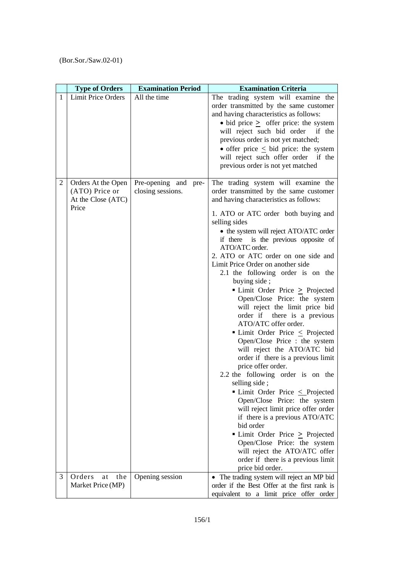|              | <b>Type of Orders</b>                                               | <b>Examination Period</b>                 | <b>Examination Criteria</b>                                                                                                                                                                                                                                                                                                                                                                                                                                                                                                                                                                                                                                                                                                                                                                                                                                                                                                                                                                                                                                                                                                                           |
|--------------|---------------------------------------------------------------------|-------------------------------------------|-------------------------------------------------------------------------------------------------------------------------------------------------------------------------------------------------------------------------------------------------------------------------------------------------------------------------------------------------------------------------------------------------------------------------------------------------------------------------------------------------------------------------------------------------------------------------------------------------------------------------------------------------------------------------------------------------------------------------------------------------------------------------------------------------------------------------------------------------------------------------------------------------------------------------------------------------------------------------------------------------------------------------------------------------------------------------------------------------------------------------------------------------------|
| $\mathbf{1}$ | <b>Limit Price Orders</b>                                           | All the time                              | The trading system will examine the<br>order transmitted by the same customer<br>and having characteristics as follows:<br>$\bullet$ bid price $\geq$ offer price: the system<br>will reject such bid order<br>if the<br>previous order is not yet matched;<br>• offer price $\leq$ bid price: the system<br>will reject such offer order if the<br>previous order is not yet matched                                                                                                                                                                                                                                                                                                                                                                                                                                                                                                                                                                                                                                                                                                                                                                 |
| 2            | Orders At the Open<br>(ATO) Price or<br>At the Close (ATC)<br>Price | Pre-opening and pre-<br>closing sessions. | The trading system will examine the<br>order transmitted by the same customer<br>and having characteristics as follows:<br>1. ATO or ATC order both buying and<br>selling sides<br>• the system will reject ATO/ATC order<br>if there is the previous opposite of<br>ATO/ATC order.<br>2. ATO or ATC order on one side and<br>Limit Price Order on another side<br>2.1 the following order is on the<br>buying side;<br>• Limit Order Price > Projected<br>Open/Close Price: the system<br>will reject the limit price bid<br>order if there is a previous<br>ATO/ATC offer order.<br>■ Limit Order Price $\leq$ Projected<br>Open/Close Price : the system<br>will reject the ATO/ATC bid<br>order if there is a previous limit<br>price offer order.<br>2.2 the following order is on the<br>selling side;<br>$\blacksquare$ Limit Order Price $\leq$ Projected<br>Open/Close Price: the system<br>will reject limit price offer order<br>if there is a previous ATO/ATC<br>bid order<br>■ Limit Order Price ≥ Projected<br>Open/Close Price: the system<br>will reject the ATO/ATC offer<br>order if there is a previous limit<br>price bid order. |
| 3            | Orders<br>the<br>at<br>Market Price (MP)                            | Opening session                           | • The trading system will reject an MP bid<br>order if the Best Offer at the first rank is                                                                                                                                                                                                                                                                                                                                                                                                                                                                                                                                                                                                                                                                                                                                                                                                                                                                                                                                                                                                                                                            |
|              |                                                                     |                                           | equivalent to a limit price offer order                                                                                                                                                                                                                                                                                                                                                                                                                                                                                                                                                                                                                                                                                                                                                                                                                                                                                                                                                                                                                                                                                                               |